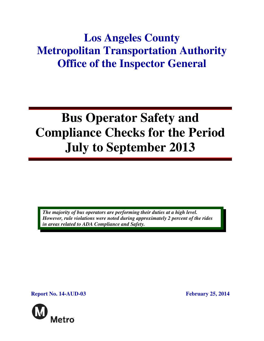## **Los Angeles County Metropolitan Transportation Authority Office of the Inspector General**

# **Bus Operator Safety and Compliance Checks for the Period July to September 2013**

*The majority of bus operators are performing their duties at a high level. However, rule violations were noted during approximately 2 percent of the rides in areas related to ADA Compliance and Safety.* 

**Report No. 14-AUD-03 February 25, 2014** 

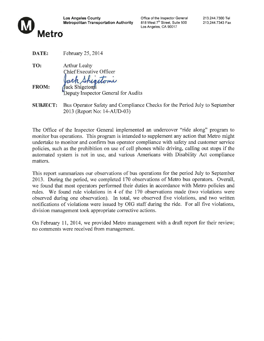

Office of the Inspector General 818 West 7<sup>th</sup> Street, Suite 500 Los Angeles, CA 90017

DATE: February 25, 2014

TO: **Arthur Leahy Chief Executive Officer** ack Shigetoni **FROM:** 

ack Shigetoni Deputy Inspector General for Audits

Bus Operator Safety and Compliance Checks for the Period July to September **SUBJECT:** 2013 (Report No: 14-AUD-03)

The Office of the Inspector General implemented an undercover "ride along" program to monitor bus operations. This program is intended to supplement any action that Metro might undertake to monitor and confirm bus operator compliance with safety and customer service policies, such as the prohibition on use of cell phones while driving, calling out stops if the automated system is not in use, and various Americans with Disability Act compliance matters.

This report summarizes our observations of bus operations for the period July to September 2013. During the period, we completed 170 observations of Metro bus operators. Overall, we found that most operators performed their duties in accordance with Metro policies and rules. We found rule violations in 4 of the 170 observations made (two violations were observed during one observation). In total, we observed five violations, and two written notifications of violations were issued by OIG staff during the ride. For all five violations, division management took appropriate corrective actions.

On February 11, 2014, we provided Metro management with a draft report for their review; no comments were received from management.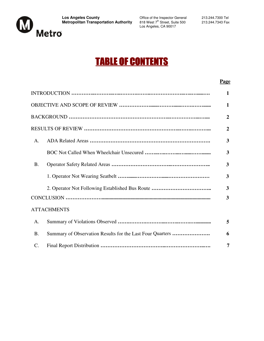

818 West 7<sup>th</sup> Street, Suite 500<br>Los Angeles, CA 90017

## TABLE OF CONTENTS

#### **Page**

|                 |                                                           | 1              |
|-----------------|-----------------------------------------------------------|----------------|
|                 |                                                           | 1              |
|                 |                                                           | $\overline{2}$ |
|                 |                                                           | $\overline{2}$ |
| A.              |                                                           | 3              |
|                 |                                                           | 3              |
| <b>B.</b>       |                                                           | 3              |
|                 |                                                           | 3              |
|                 |                                                           | 3              |
|                 |                                                           | 3              |
|                 | <b>ATTACHMENTS</b>                                        |                |
| A.              |                                                           | 5              |
| <b>B.</b>       | Summary of Observation Results for the Last Four Quarters | 6              |
| $\mathcal{C}$ . |                                                           | 7              |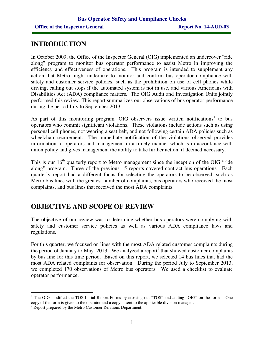## **INTRODUCTION**

In October 2009, the Office of the Inspector General (OIG) implemented an undercover "ride along" program to monitor bus operator performance to assist Metro in improving the efficiency and effectiveness of operations. This program is intended to supplement any action that Metro might undertake to monitor and confirm bus operator compliance with safety and customer service policies, such as the prohibition on use of cell phones while driving, calling out stops if the automated system is not in use, and various Americans with Disabilities Act (ADA) compliance matters. The OIG Audit and Investigation Units jointly performed this review. This report summarizes our observations of bus operator performance during the period July to September 2013.

As part of this monitoring program, OIG observers issue written notifications<sup>1</sup> to bus operators who commit significant violations. These violations include actions such as using personal cell phones, not wearing a seat belt, and not following certain ADA policies such as wheelchair securement. The immediate notification of the violations observed provides information to operators and management in a timely manner which is in accordance with union policy and gives management the ability to take further action, if deemed necessary.

This is our 16<sup>th</sup> quarterly report to Metro management since the inception of the OIG "ride" along" program. Three of the previous 15 reports covered contract bus operations. Each quarterly report had a different focus for selecting the operators to be observed, such as Metro bus lines with the greatest number of complaints, bus operators who received the most complaints, and bus lines that received the most ADA complaints.

## **OBJECTIVE AND SCOPE OF REVIEW**

The objective of our review was to determine whether bus operators were complying with safety and customer service policies as well as various ADA compliance laws and regulations.

For this quarter, we focused on lines with the most ADA related customer complaints during the period of January to May 2013. We analyzed a report<sup>2</sup> that showed customer complaints by bus line for this time period. Based on this report, we selected 14 bus lines that had the most ADA related complaints for observation. During the period July to September 2013, we completed 170 observations of Metro bus operators. We used a checklist to evaluate operator performance.

 $\overline{a}$ <sup>1</sup> The OIG modified the TOS Initial Report Forms by crossing out "TOS" and adding "OIG" on the forms. One copy of the form is given to the operator and a copy is sent to the applicable division manager.

<sup>&</sup>lt;sup>2</sup> Report prepared by the Metro Customer Relations Department.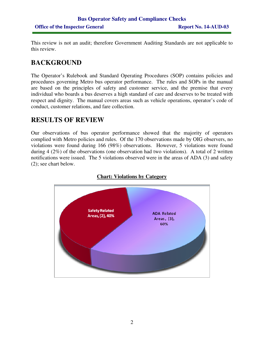This review is not an audit; therefore Government Auditing Standards are not applicable to this review.

## **BACKGROUND**

The Operator's Rulebook and Standard Operating Procedures (SOP) contains policies and procedures governing Metro bus operator performance. The rules and SOPs in the manual are based on the principles of safety and customer service, and the premise that every individual who boards a bus deserves a high standard of care and deserves to be treated with respect and dignity. The manual covers areas such as vehicle operations, operator's code of conduct, customer relations, and fare collection.

## **RESULTS OF REVIEW**

Our observations of bus operator performance showed that the majority of operators complied with Metro policies and rules. Of the 170 observations made by OIG observers, no violations were found during 166 (98%) observations. However, 5 violations were found during 4 (2%) of the observations (one observation had two violations). A total of 2 written notifications were issued. The 5 violations observed were in the areas of ADA (3) and safety (2); see chart below.



#### **Chart: Violations by Category**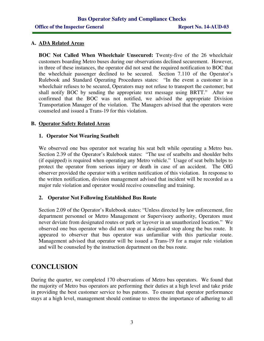#### **A. ADA Related Areas**

**BOC Not Called When Wheelchair Unsecured:** Twenty-five of the 26 wheelchair customers boarding Metro buses during our observations declined securement. However, in three of these instances, the operator did not send the required notification to BOC that the wheelchair passenger declined to be secured. Section 7.110 of the Operator's Rulebook and Standard Operating Procedures states: "In the event a customer in a wheelchair refuses to be secured, Operators may not refuse to transport the customer; but shall notify BOC by sending the appropriate text message using BRTT." After we confirmed that the BOC was not notified, we advised the appropriate Division Transportation Manager of the violation. The Managers advised that the operators were counseled and issued a Trans-19 for this violation.

#### **B. Operator Safety Related Areas**

#### **1. Operator Not Wearing Seatbelt**

We observed one bus operator not wearing his seat belt while operating a Metro bus. Section 2.39 of the Operator's Rulebook states: "The use of seatbelts and shoulder belts (if equipped) is required when operating any Metro vehicle." Usage of seat belts helps to protect the operator from serious injury or death in case of an accident. The OIG observer provided the operator with a written notification of this violation. In response to the written notification, division management advised that incident will be recorded as a major rule violation and operator would receive counseling and training.

#### **2. Operator Not Following Established Bus Route**

Section 2.09 of the Operator's Rulebook states: "Unless directed by law enforcement, fire department personnel or Metro Management or Supervisory authority, Operators must never deviate from designated routes or park or layover in an unauthorized location." We observed one bus operator who did not stop at a designated stop along the bus route. It appeared to observer that bus operator was unfamiliar with this particular route. Management advised that operator will be issued a Trans-19 for a major rule violation and will be counseled by the instruction department on the bus route.

## **CONCLUSION**

During the quarter, we completed 170 observations of Metro bus operators. We found that the majority of Metro bus operators are performing their duties at a high level and take pride in providing the best customer service to bus patrons. To ensure that operator performance stays at a high level, management should continue to stress the importance of adhering to all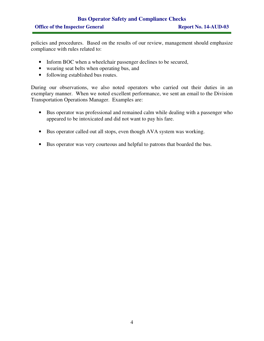## **Bus Operator Safety and Compliance Checks**  Office of the Inspector General Report No. 14-AUD-03

policies and procedures. Based on the results of our review, management should emphasize compliance with rules related to:

- Inform BOC when a wheelchair passenger declines to be secured,
- wearing seat belts when operating bus, and
- following established bus routes.

During our observations, we also noted operators who carried out their duties in an exemplary manner. When we noted excellent performance, we sent an email to the Division Transportation Operations Manager. Examples are:

- Bus operator was professional and remained calm while dealing with a passenger who appeared to be intoxicated and did not want to pay his fare.
- Bus operator called out all stops, even though AVA system was working.
- Bus operator was very courteous and helpful to patrons that boarded the bus.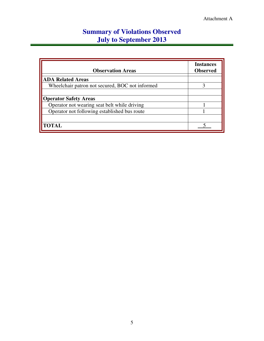## **Summary of Violations Observed July to September 2013**

| <b>Observation Areas</b>                        | <b>Instances</b><br><b>Observed</b> |
|-------------------------------------------------|-------------------------------------|
| <b>ADA Related Areas</b>                        |                                     |
| Wheelchair patron not secured, BOC not informed |                                     |
|                                                 |                                     |
| <b>Operator Safety Areas</b>                    |                                     |
| Operator not wearing seat belt while driving    |                                     |
| Operator not following established bus route    |                                     |
|                                                 |                                     |
| <b>TOTAL</b>                                    |                                     |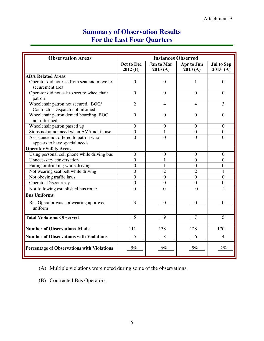## **Summary of Observation Results For the Last Four Quarters**

| <b>Observation Areas</b>                                               | <b>Instances Observed</b>    |                              |                       |                                 |
|------------------------------------------------------------------------|------------------------------|------------------------------|-----------------------|---------------------------------|
|                                                                        | <b>Oct to Dec</b><br>2012(B) | <b>Jan to Mar</b><br>2013(A) | Apr to Jun<br>2013(A) | <b>Jul to Sep</b><br>$2013$ (A) |
| <b>ADA Related Areas</b>                                               |                              |                              |                       |                                 |
| Operator did not rise from seat and move to<br>securement area         | $\overline{0}$               | $\overline{0}$               | 1                     | $\overline{0}$                  |
| Operator did not ask to secure wheelchair<br>patron                    | $\Omega$                     | $\Omega$                     | $\theta$              | $\theta$                        |
| Wheelchair patron not secured, BOC/<br>Contractor Dispatch not infomed | $\overline{2}$               | 4                            | 4                     | $\overline{3}$                  |
| Wheelchair patron denied boarding, BOC<br>not informed                 | $\theta$                     | $\overline{0}$               | $\Omega$              | $\theta$                        |
| Wheelchair patron passed up                                            | $\overline{0}$               | $\overline{0}$               | $\overline{0}$        | $\theta$                        |
| Stops not announced when AVA not in use                                | $\overline{0}$               | 1                            | $\mathbf{0}$          | $\overline{0}$                  |
| Assistance not offered to patron who<br>appears to have special needs  | $\theta$                     | $\theta$                     | $\theta$              | $\theta$                        |
| <b>Operator Safety Areas</b>                                           |                              |                              |                       |                                 |
| Using personal cell phone while driving bus                            | $\boldsymbol{0}$             | $\boldsymbol{0}$             | $\mathbf{0}$          | $\theta$                        |
| Unnecessary conversation                                               | $\theta$                     | 1                            | $\theta$              | $\Omega$                        |
| Eating or drinking while driving                                       | $\overline{0}$               |                              | $\theta$              | $\overline{0}$                  |
| Not wearing seat belt while driving                                    | $\theta$                     | $\overline{2}$               | $\overline{2}$        | 1                               |
| Not obeying traffic laws                                               | $\overline{0}$               | $\overline{0}$               | $\overline{0}$        | $\Omega$                        |
| <b>Operator Discourtesy</b>                                            | $\overline{0}$               | $\theta$                     | $\Omega$              | $\overline{0}$                  |
| Not following established bus route                                    | $\overline{0}$               | $\theta$                     | $\Omega$              | 1                               |
| <b>Bus Uniforms</b>                                                    |                              |                              |                       |                                 |
| Bus Operator was not wearing approved<br>uniform                       | 3                            | $\overline{0}$               | $\theta$              | $\mathbf{0}$                    |
| <b>Total Violations Observed</b>                                       | 5                            | 9                            | 7                     | <u>5</u>                        |
| <b>Number of Observations Made</b>                                     | 111                          | 138                          | 128                   | 170                             |
| <b>Number of Observations with Violations</b>                          | 5                            | 8                            | 6                     | 4                               |
| <b>Percentage of Observations with Violations</b>                      | 5%                           | 6%                           | 5%                    | $2\%$                           |

(A) Multiple violations were noted during some of the observations.

(B) Contracted Bus Operators.